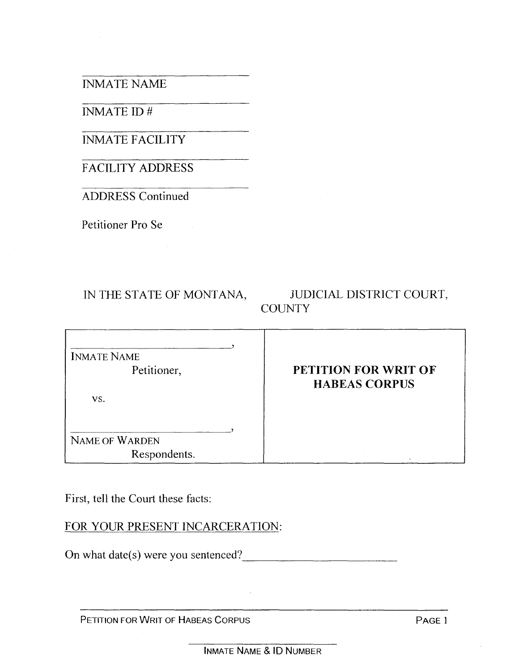INMATE NAME

INMATE ID#

INMATE FACILITY

FACILITY ADDRESS

ADDRESS Continued

Petitioner Pro Se

JUDICIAL DISTRICT COURT, **COUNTY** 

| <b>INMATE NAME</b><br>Petitioner,<br>VS. | PETITION FOR WRIT OF<br><b>HABEAS CORPUS</b> |
|------------------------------------------|----------------------------------------------|
| NAME OF WARDEN                           |                                              |
| Respondents.                             |                                              |

First, tell the Court these facts:

## FOR YOUR PRESENT INCARCERATION:

On what date(s) were you sentenced?

PETITION FOR WRIT OF HABEAS CORPUS

PAGE<sub>1</sub>

INMATE NAME & **10** NUMBER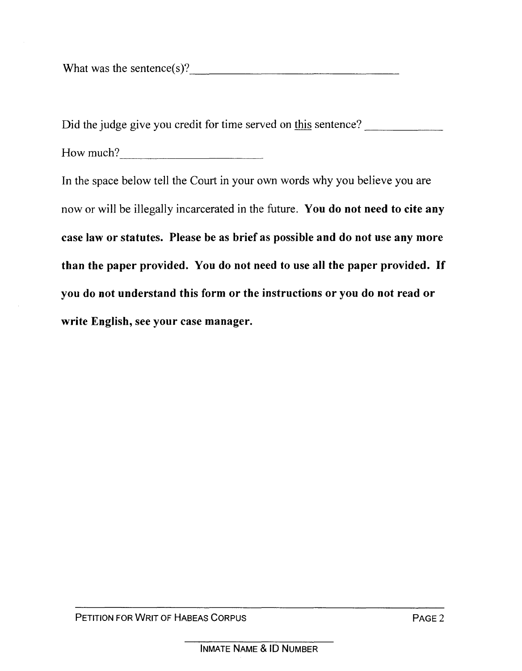What was the sentence(s)?  $\qquad \qquad$ 

Did the judge give you credit for time served on this sentence?

How much?

In the space below tell the Court in your own words why you believe you are now or will be illegally incarcerated in the future. You do not need to cite any case law or statutes. Please be as brief as possible and do not use any more than the paper provided. You do not need to use all the paper provided. If you do not understand this form or the instructions or you do not read or write English, see your case manager.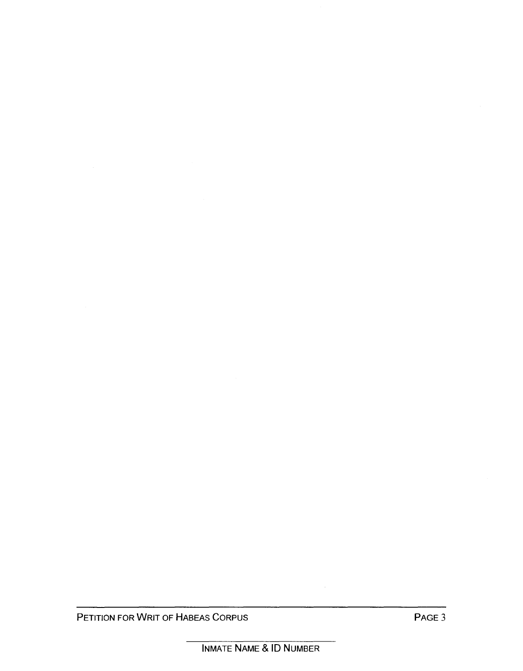**PETITION FOR WRIT OF HABEAS CORPUS PAGE 3**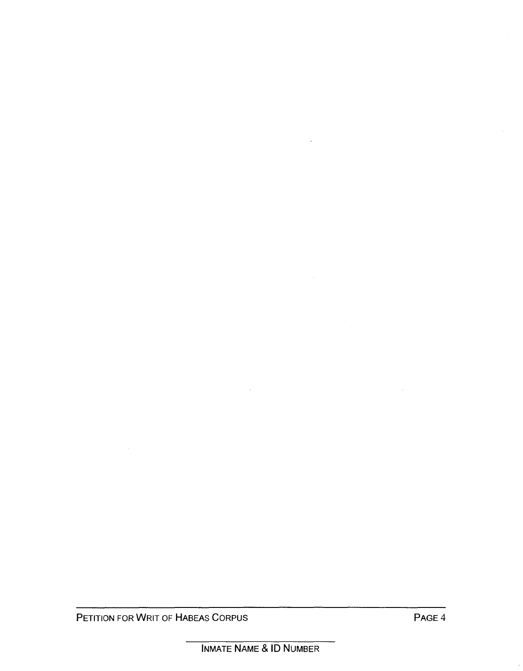PETITION FOR WRIT OF HABEAS CORPUS **PAGE 4**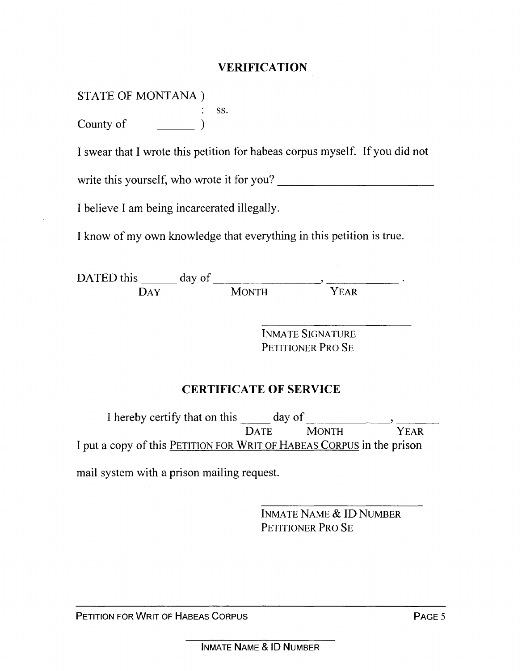## VERIFICATION

STATE OF MONTANA)

ss. County of  $\frac{1}{\sqrt{2\pi}}$ 

I swear that I wrote this petition for habeas corpus myself. If you did not

write this yourself, who wrote it for you?

I believe I am being incarcerated illegally.

I know of my own knowledge that everything in this petition is true.

DATED this \_\_\_ day of \_\_\_\_\_\_\_\_\_\_\_\_ \_ DAY MONTH YEAR

> INMATE SIGNATURE PETITIONER PRO SE

## CERTIFICATE OF SERVICE

I hereby certify that on this day of \_\_\_\_\_\_\_\_ \_ DATE MONTH YEAR I put a copy of this PETITION FOR WRIT OF HABEAS CORPUS in the prison

mail system with a prison mailing request.

INMATE NAME & ID NUMBER PETITIONER PRO SE

PETITION FOR WRIT OF HABEAS CORPUS